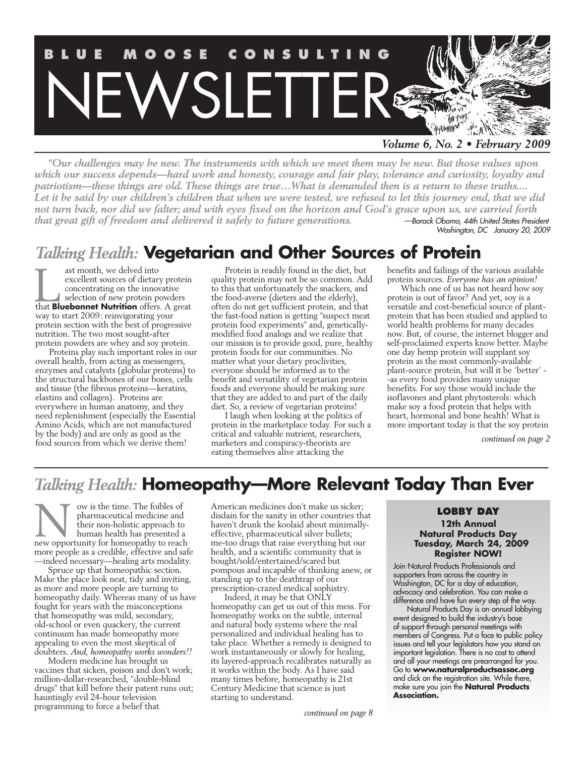

*Volume 6, No. 2 • February 2009*

*"Our challenges may be new. The instruments with which we meet them may be new. But those values upon which our success depends—hard work and honesty, courage and fair play, tolerance and curiosity, loyalty and patriotism—these things are old. These things are true…What is demanded then is a return to these truths.... Let it be said by our children's children that when we were tested, we refused to let this journey end, that we did not turn back, nor did we falter; and with eyes fixed on the horizon and God's grace upon us, we carried forth that great gift of freedom and delivered it safely to future generations. —Barack Obama, 44th United States President*

*Washington, DC January 20, 2009*

## *Talking Health:* **Vegetarian and Other Sources of Protein**

ast month, we delved into excellent sources of dietary protein concentrating on the innovative selection of new protein powders ast month, we delved into<br>excellent sources of dietary protein<br>concentrating on the innovative<br>selection of new protein powders<br>that **Bluebonnet Nutrition** offers. A great way to start 2009: reinvigorating your protein section with the best of progressive nutrition. The two most sought-after protein powders are whey and soy protein.

Proteins play such important roles in our overall health, from acting as messengers, enzymes and catalysts (globular proteins) to the structural backbones of our bones, cells and tissue (the fibrous proteins—keratins, elastins and collagen). Proteins are everywhere in human anatomy, and they need replenishment (especially the Essential Amino Acids, which are not manufactured by the body) and are only as good as the food sources from which we derive them!

Protein is readily found in the diet, but quality protein may not be so common. Add to this that unfortunately the snackers, and the food-averse (dieters and the elderly), often do not get sufficient protein, and that the fast-food nation is getting "suspect meat protein food experiments" and, geneticallymodified food analogs and we realize that our mission is to provide good, pure, healthy protein foods for our communities. No matter what your dietary proclivities, everyone should be informed as to the benefit and versatility of vegetarian protein foods and everyone should be making sure that they are added to and part of the daily diet. So, a review of vegetarian proteins!

I laugh when looking at the politics of protein in the marketplace today. For such a critical and valuable nutrient, researchers, marketers and conspiracy-theorists are eating themselves alive attacking the

benefits and failings of the various available protein sources. *Everyone has an opinion!*

Which one of us has not heard how soy protein is out of favor? And yet, soy is a versatile and cost-beneficial source of plantprotein that has been studied and applied to world health problems for many decades now. But, of course, the internet blogger and self-proclaimed experts know better. Maybe one day hemp protein will supplant soy protein as the most commonly-available plant-source protein, but will it be 'better' - -as every food provides many unique benefits. For soy those would include the isoflavones and plant phytosterols: which make soy a food protein that helps with heart, hormonal and bone health! What is more important today is that the soy protein

*continued on page 2*

## *Talking Health:* **Homeopathy—More Relevant Today Than Ever**

ow is the time. The foibles of pharmaceutical medicine and their non-holistic approach to human health has presented a new opportunity for homeopathy to reach more people as a credible, effective and safe —indeed necessary—healing arts modality. Now is the time. The foibles of American medicines don't make us sicker;<br>
pharmaceutical medicine and disdain for the sanity in other countries that<br>
their non-holistic approach to haven't drunk the koolaid about minimally

Spruce up that homeopathic section. Make the place look neat, tidy and inviting, as more and more people are turning to homeopathy daily. Whereas many of us have fought for years with the misconceptions that homeopathy was mild, secondary, old-school or even quackery, the current continuum has made homeopathy more appealing to even the most skeptical of doubters. *And, homeopathy works wonders!!*

Modern medicine has brought us vaccines that sicken, poison and don't work; million-dollar-researched, "double-blind drugs" that kill before their patent runs out; hauntingly evil 24-hour television programming to force a belief that

American medicines don't make us sicker; disdain for the sanity in other countries that haven't drunk the koolaid about minimallyeffective, pharmaceutical silver bullets; me-too drugs that raise everything but our health, and a scientific community that is bought/sold/entertained/scared but pompous and incapable of thinking anew, or standing up to the deathtrap of our prescription-crazed medical sophistry.

Indeed, it may be that ONLY homeopathy can get us out of this mess. For homeopathy works on the subtle, internal and natural body systems where the real personalized and individual healing has to take place. Whether a remedy is designed to work instantaneously or slowly for healing, its layered-approach recalibrates naturally as it works within the body. As I have said many times before, homeopathy is 21st Century Medicine that science is just starting to understand.

**12th Annual Natural Products Day Tuesday, March 24, 2009 Register NOW!**

Join Natural Products Professionals and supporters from across the country in Washington, DC for a day of education, advocacy and celebration. You can make a difference and have fun every step of the way.

Natural Products Day is an annual lobbying event designed to build the industry's base of support through personal meetings with members of Congress. Put a face to public policy issues and tell your legislators how you stand on important legislation. There is no cost to attend and all your meetings are prearranged for you. Go to **www.naturalproductsassoc.org** and click on the registration site. While there, make sure you join the **Natural Products Association.**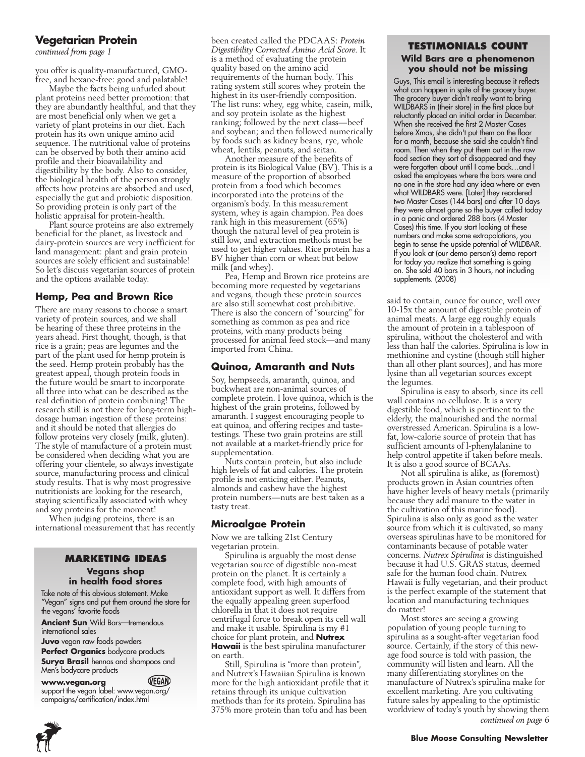#### **Vegetarian Protein**

*continued from page 1*

you offer is quality-manufactured, GMOfree, and hexane-free: good and palatable!

Maybe the facts being unfurled about plant proteins need better promotion: that they are abundantly healthful, and that they are most beneficial only when we get a variety of plant proteins in our diet. Each protein has its own unique amino acid sequence. The nutritional value of proteins can be observed by both their amino acid profile and their bioavailability and digestibility by the body. Also to consider, the biological health of the person strongly affects how proteins are absorbed and used, especially the gut and probiotic disposition. So providing protein is only part of the holistic appraisal for protein-health.

Plant source proteins are also extremely beneficial for the planet, as livestock and dairy-protein sources are very inefficient for land management: plant and grain protein sources are solely efficient and sustainable! So let's discuss vegetarian sources of protein and the options available today.

#### **Hemp, Pea and Brown Rice**

There are many reasons to choose a smart variety of protein sources, and we shall be hearing of these three proteins in the years ahead. First thought, though, is that rice is a grain; peas are legumes and the part of the plant used for hemp protein is the seed. Hemp protein probably has the greatest appeal, though protein foods in the future would be smart to incorporate all three into what can be described as the real definition of protein combining! The research still is not there for long-term highdosage human ingestion of these proteins: and it should be noted that allergies do follow proteins very closely (milk, gluten). The style of manufacture of a protein must be considered when deciding what you are offering your clientele, so always investigate source, manufacturing process and clinical study results. That is why most progressive nutritionists are looking for the research, staying scientifically associated with whey and soy proteins for the moment!

When judging proteins, there is an international measurement that has recently

#### **Marketing Ideas Vegans shop in health food stores**

Take note of this obvious statement. Make "Vegan" signs and put them around the store for the vegans' favorite foods

**Ancient Sun** Wild Bars—tremendous international sales

**Juvo** vegan raw foods powders

**Perfect Organics** bodycare products **Surya Brasil** hennas and shampoos and Men's bodycare products

**www.vegan.org** VEGAN support the vegan label: www.vegan.org/ campaigns/certification/index.html

been created called the PDCAAS: *Protein Digestibility Corrected Amino Acid Score.* It is a method of evaluating the protein quality based on the amino acid requirements of the human body. This rating system still scores whey protein the highest in its user-friendly composition. The list runs: whey, egg white, casein, milk, and soy protein isolate as the highest ranking; followed by the next class—beef and soybean; and then followed numerically by foods such as kidney beans, rye, whole wheat, lentils, peanuts, and seitan.

Another measure of the benefits of protein is its Biological Value (BV). This is a measure of the proportion of absorbed protein from a food which becomes incorporated into the proteins of the organism's body. In this measurement system, whey is again champion. Pea does rank high in this measurement (65%) though the natural level of pea protein is still low, and extraction methods must be used to get higher values. Rice protein has a BV higher than corn or wheat but below milk (and whey).

Pea, Hemp and Brown rice proteins are becoming more requested by vegetarians and vegans, though these protein sources are also still somewhat cost prohibitive. There is also the concern of "sourcing" for something as common as pea and rice proteins, with many products being processed for animal feed stock—and many imported from China.

#### **Quinoa, Amaranth and Nuts**

Soy, hempseeds, amaranth, quinoa, and buckwheat are non-animal sources of complete protein. I love quinoa, which is the highest of the grain proteins, followed by amaranth. I suggest encouraging people to eat quinoa, and offering recipes and tastetestings. These two grain proteins are still not available at a market-friendly price for supplementation.

Nuts contain protein, but also include high levels of fat and calories. The protein profile is not enticing either. Peanuts, almonds and cashew have the highest protein numbers—nuts are best taken as a tasty treat.

#### **Microalgae Protein**

Now we are talking 21st Century vegetarian protein.

Spirulina is arguably the most dense vegetarian source of digestible non-meat protein on the planet. It is certainly a complete food, with high amounts of antioxidant support as well. It differs from the equally appealing green superfood chlorella in that it does not require centrifugal force to break open its cell wall and make it usable. Spirulina is my #1 choice for plant protein, and **Nutrex Hawaii** is the best spirulina manufacturer on earth.

Still, Spirulina is "more than protein", and Nutrex's Hawaiian Spirulina is known more for the high antioxidant profile that it retains through its unique cultivation methods than for its protein. Spirulina has 375% more protein than tofu and has been

#### **Testimonials Count Wild Bars are a phenomenon you should not be missing**

Guys, This email is interesting because it reflects what can happen in spite of the grocery buyer. The grocery buyer didn't really want to bring WILDBARS in (their store) in the first place but reluctantly placed an initial order in December. When she received the first 2 Master Cases before Xmas, she didn't put them on the floor for a month, because she said she couldn't find room. Then when they put them out in the raw food section they sort of disappeared and they were forgotten about until I came back…and I asked the employees where the bars were and no one in the store had any idea where or even what WILDBARS were. [Later] they reordered two Master Cases (144 bars) and after 10 days they were almost gone so the buyer called today in a panic and ordered 288 bars (4 Master Cases) this time. If you start looking at these numbers and make some extrapolations, you begin to sense the upside potential of WILDBAR. If you look at (our demo person's) demo report for today you realize that something is going on. She sold 40 bars in 3 hours, not including supplements. (2008)

said to contain, ounce for ounce, well over 10-15x the amount of digestible protein of animal meats. A large egg roughly equals the amount of protein in a tablespoon of spirulina, without the cholesterol and with less than half the calories. Spirulina is low in methionine and cystine (though still higher than all other plant sources), and has more lysine than all vegetarian sources except the legumes.

Spirulina is easy to absorb, since its cell wall contains no cellulose. It is a very digestible food, which is pertinent to the elderly, the malnourished and the normal overstressed American. Spirulina is a lowfat, low-calorie source of protein that has sufficient amounts of l-phenylalanine to help control appetite if taken before meals. It is also a good source of BCAAs.

Not all spirulina is alike, as (foremost) products grown in Asian countries often have higher levels of heavy metals (primarily because they add manure to the water in the cultivation of this marine food). Spirulina is also only as good as the water source from which it is cultivated, so many overseas spirulinas have to be monitored for contaminants because of potable water concerns. *Nutrex Spirulina* is distinguished because it had U.S. GRAS status, deemed safe for the human food chain. Nutrex Hawaii is fully vegetarian, and their product is the perfect example of the statement that location and manufacturing techniques do matter!

Most stores are seeing a growing population of young people turning to spirulina as a sought-after vegetarian food source. Certainly, if the story of this newage food source is told with passion, the community will listen and learn. All the many differentiating storylines on the manufacture of Nutrex's spirulina make for excellent marketing. Are you cultivating future sales by appealing to the optimistic worldview of today's youth by showing them *continued on page 6*



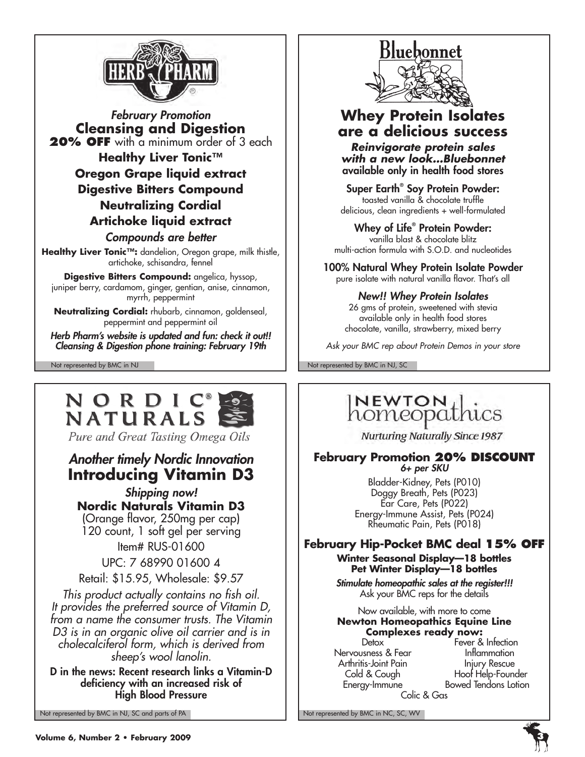

*February Promotion* **Cleansing and Digestion 20% OFF** with a minimum order of 3 each **Healthy Liver Tonic™ Oregon Grape liquid extract Digestive Bitters Compound Neutralizing Cordial Artichoke liquid extract** *Compounds are better* **Healthy Liver Tonic™:** dandelion, Oregon grape, milk thistle, artichoke, schisandra, fennel

**Digestive Bitters Compound:** angelica, hyssop, juniper berry, cardamom, ginger, gentian, anise, cinnamon, myrrh, peppermint

**Neutralizing Cordial:** rhubarb, cinnamon, goldenseal, peppermint and peppermint oil

*Herb Pharm's website is updated and fun: check it out!! Cleansing & Digestion phone training: February 19th*

## NORDIC® NATURALS

Pure and Great Tasting Omega Oils

## *Another timely Nordic Innovation* **Introducing Vitamin D3**

*Shipping now!* **Nordic Naturals Vitamin D3** (Orange flavor, 250mg per cap) 120 count, 1 soft gel per serving Item# RUS-01600

UPC: 7 68990 01600 4

Retail: \$15.95, Wholesale: \$9.57

*This product actually contains no fish oil. It provides the preferred source of Vitamin D, from a name the consumer trusts. The Vitamin D3 is in an organic olive oil carrier and is in cholecalciferol form, which is derived from sheep's wool lanolin.* 

D in the news: Recent research links a Vitamin-D deficiency with an increased risk of High Blood Pressure

Not represented by BMC in NJ, SC and parts of PA Not represented by BMC in NC, SC, WV



### **Whey Protein Isolates are a delicious success**

*Reinvigorate protein sales with a new look…Bluebonnet* available only in health food stores

Super Earth® Soy Protein Powder: toasted vanilla & chocolate truffle delicious, clean ingredients + well-formulated

Whey of Life® Protein Powder: vanilla blast & chocolate blitz multi-action formula with S.O.D. and nucleotides

100% Natural Whey Protein Isolate Powder pure isolate with natural vanilla flavor. That's all

### *New!! Whey Protein Isolates*

26 gms of protein, sweetened with stevia available only in health food stores chocolate, vanilla, strawberry, mixed berry

*Ask your BMC rep about Protein Demos in your store*

Not represented by BMC in NJ Not represented by BMC in NJ, SC

## **NEWTON** homeopathics

Nurturing Naturally Since 1987

#### **February Promotion 20% DISCOUNT** *6+ per SKU*

Bladder-Kidney, Pets (P010) Doggy Breath, Pets (P023) Ear Care, Pets (P022) Energy-Immune Assist, Pets (P024) Rheumatic Pain, Pets (P018)

## **February Hip-Pocket BMC deal 15% off**

### **Winter Seasonal Display—18 bottles Pet Winter Display—18 bottles**

*Stimulate homeopathic sales at the register!!!* Ask your BMC reps for the details

#### Now available, with more to come **Newton Homeopathics Equine Line Complexes ready now:**

Colic & Gas

Detox **Fever & Infection** Nervousness & Fear **Inflammation** Arthritis-Joint Pain Injury Rescue<br>Cold & Cough Iloof Help-Found Hoof Help-Founder Energy-Immune Bowed Tendons Lotion

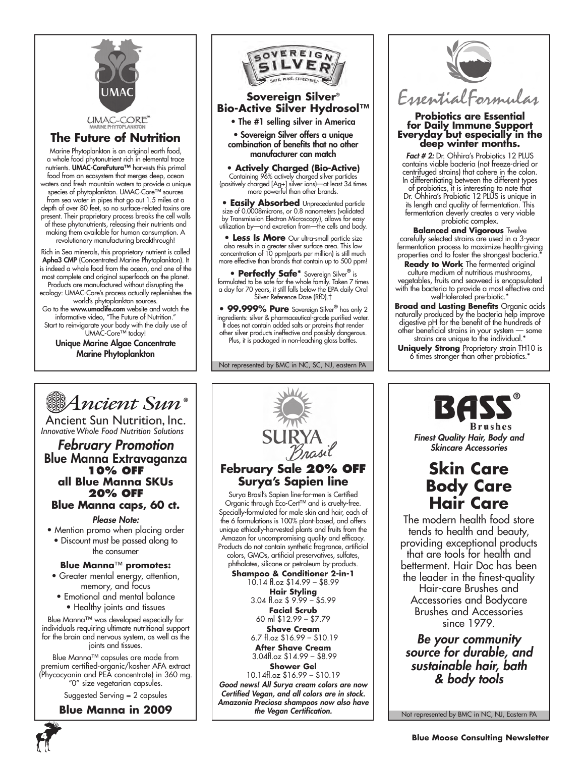

#### **The Future of Nutrition**

Marine Phytoplankton is an original earth food, a whole food phytonutrient rich in elemental trace nutrients. UMAC-CoreFutura™ harvests this primal food from an ecosystem that merges deep, ocean waters and fresh mountain waters to provide a unique species of phytoplankton. UMAC-Core™ sources from sea water in pipes that go out 1.5 miles at a depth of over 80 feet, so no surface-related toxins are present. Their proprietary process breaks the cell walls of these phytonutrients, releasing their nutrients and making them available for human consumption. A revolutionary manufacturing breakthrough!

Rich in Sea minerals, this proprietary nutrient is called Apha3 CMP (Concentrated Marine Phytoplankton). It is indeed a whole food from the ocean, and one of the most complete and original superfoods on the planet. Products are manufactured without disrupting the ecology: UMAC-Core's process actually replenishes the

world's phytoplankton sources. Go to the www.umaclife.com website and watch the informative video, "The Future of Nutrition." Start to reinvigorate your body with the daily use of

UMAC-Core™ today! Unique Marine Algae Concentrate

Marine Phytoplankton



### **Sovereign Silver® Bio-Active Silver Hydrosol™**

• The #1 selling silver in America

• Sovereign Silver offers a unique combination of benefits that no other manufacturer can match

**• Actively Charged (Bio-Active)** Containing 96% actively charged silver particles (positively charged [Ag+] silver ions)—at least 34 times more powerful than other brands.

**• Easily Absorbed** Unprecedented particle size of 0.0008microns, or 0.8 nanometers (validated by Transmission Electron Microscopy), allows for easy utilization by—and excretion from—the cells and body.

**Less Is More** Our ultra-small particle size also results in a greater silver surface area. This low concentration of 10 ppm(parts per million) is still much more effective than brands that contain up to 500 ppm!

**• Perfectly Safe\*** Sovereign Silver**®** is formulated to be safe for the whole family. Taken 7 times a day for 70 years, it still falls below the EPA daily Oral Silver Reference Dose (RfD).†

**• 99.999% Pure** Sovereign Silver**®** has only 2 ingredients: silver & pharmaceutical-grade purified water. It does not contain added salts or proteins that render other silver products ineffective and possibly dangerous. Plus, it is packaged in non-leaching glass bottles.

Not represented by BMC in NC, SC, NJ, eastern PA



## **Probiotics are Essential for Daily Immune Support Everyday but especially in the deep winter months.**

*Fact # 2:* Dr. Ohhira's Probiotics 12 PLUS contains viable bacteria (not freeze-dried or centrifuged strains) that cohere in the colon. In differentiating between the different types

of probiotics, it is interesting to note that Dr. Ohhira's Probiotic 12 PLUS is unique in its length and quality of fermentation. This fermentation cleverly creates a very viable probiotic complex.

**Balanced and Vigorous** Twelve carefully selected strains are used in a 3-year fermentation process to maximize health-giving properties and to foster the strongest bacteria.

**Ready to Work** The fermented original culture medium of nutritious mushrooms, vegetables, fruits and seaweed is encapsulated with the bacteria to provide a most effective and well-tolerated pre-biotic.<sup>\*</sup>

**Broad and Lasting Benefits** Organic acids naturally produced by the bacteria help improve digestive pH for the benefit of the hundreds of other beneficial strains in your system — some strains are unique to the individual.\*

**Uniquely Strong** Proprietary strain TH10 is 6 times stronger than other probiotics.\*



Ancient Sun Nutrition, Inc. *InnovativeWhole Food Nutrition Solutions*

*February Promotion* Blue Manna Extravaganza **10% off all Blue Manna SKUs 20% off Blue Manna caps, 60 ct.**

#### *Please Note:*

- Mention promo when placing order
- Discount must be passed along to the consumer

#### **Blue Manna**™ **promotes:**

- Greater mental energy, attention, memory, and focus
- Emotional and mental balance
- Healthy joints and tissues

Blue Manna™ was developed especially for individuals requiring ultimate nutritional support for the brain and nervous system, as well as the joints and tissues.

Blue Manna™ capsules are made from premium certified-organic/kosher AFA extract (Phycocyanin and PEA concentrate) in 360 mg. "0" size vegetarian capsules.

Suggested Serving = 2 capsules

### **Blue Manna in 2009**



**February Sale 20% off Surya's Sapien line** Surya Brasil's Sapien line-for-men is Certified Organic through Eco-Cert™ and is cruelty-free. Specially-formulated for male skin and hair, each of the 6 formulations is 100% plant-based, and offers unique ethically-harvested plants and fruits from the Amazon for uncompromising quality and efficacy. Products do not contain synthetic fragrance, artificial colors, GMOs, artificial preservatives, sulfates, phthalates, silicone or petroleum by-products. **Shampoo & Conditioner 2-in-1** 10.14 fl.oz \$14.99 – \$8.99 **Hair Styling** 3.04 fl.oz \$ 9.99 – \$5.99 **Facial Scrub** 60 ml \$12.99 – \$7.79 **Shave Cream** 6.7 fl.oz \$16.99 – \$10.19 **After Shave Cream** 3.04fl.oz \$14.99 – \$8.99 **Shower Gel** 10.14fl.oz \$16.99 – \$10.19 *Good news! All Surya cream colors are now Certified Vegan, and all colors are in stock. Amazonia Preciosa shampoos now also have* 

*the Vegan Certification.*

**Brushes** 

*Finest Quality Hair, Body and Skincare Accessories*

## **Skin Care Body Care Hair Care**

The modern health food store tends to health and beauty, providing exceptional products that are tools for health and betterment. Hair Doc has been the leader in the finest-quality Hair-care Brushes and Accessories and Bodycare Brushes and Accessories since 1979.

*Be your community source for durable, and sustainable hair, bath & body tools*

Not represented by BMC in NC, NJ, Eastern PA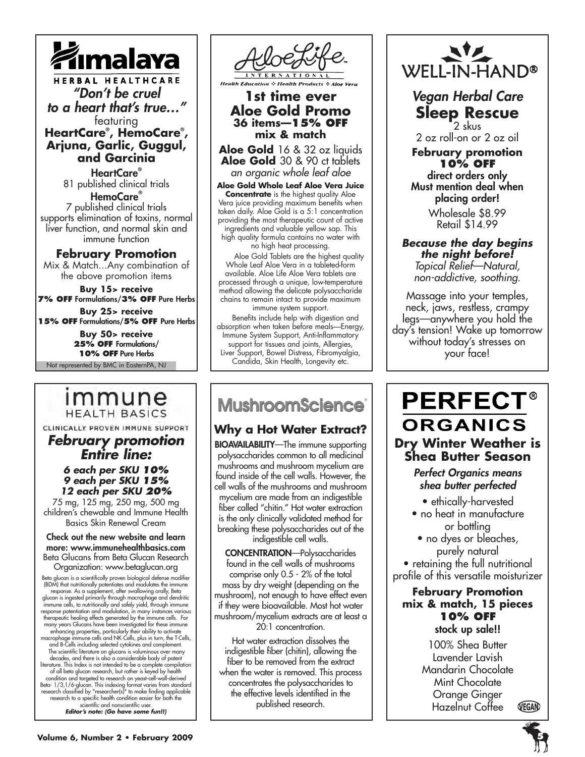

HERBAL HEALTHCARE *"Don't be cruel to a heart that's true…"* featuring

**HeartCare® , HemoCare® , Arjuna, Garlic, Guggul, and Garcinia**

> HeartCare**®** 81 published clinical trials

HemoCare® 7 published clinical trials supports elimination of toxins, normal liver function, and normal skin and immune function

#### **February Promotion**

Mix & Match...Any combination of the above promotion items

**Buy 15> receive 7% off** Formulations/**3% off** Pure Herbs

**Buy 25> receive 15% off** Formulations/**5% off** Pure Herbs

> **Buy 50> receive 25% off** Formulations/ **10% off** Pure Herbs

Not represented by BMC in EasternPA, NJ

## immune **HEALTH BASICS**

CLINICALLY PROVEN IMMUNE SUPPORT

*February promotion Entire line:*

#### *6 each per SKU 10% 9 each per SKU 15% 12 each per SKU 20%*

75 mg, 125 mg, 250 mg, 500 mg children's chewable and Immune Health Basics Skin Renewal Cream

Check out the new website and learn more: www.immunehealthbasics.com Beta Glucans from Beta Glucan Research Organization: www.betaglucan.org

Beta glucan is a scientifically proven biological defense modifier<br>(BDM) that nutritionally potentiates and modulates the immune<br>(BDM) response. As a supplement, after swallowing orally, Beta<br>glucan is ingested primarily t condition and targeted to research on yeast-cell-wall-derived<br>Beta-1/3,1/6-glucan. This indexing format varies from standard<br>research classified by "researcher(s)" to make finding applicable<br>research to a pecific health co *Editor's note: (Go have some fun!!)*



### **1st time ever Aloe Gold Promo 36 items—15% off mix & match**

**Aloe Gold** 16 & 32 oz liquids **Aloe Gold** 30 & 90 ct tablets *an organic whole leaf aloe*

**Aloe Gold Whole Leaf Aloe Vera Juice Concentrate** is the highest quality Aloe Vera juice providing maximum benefits when taken daily. Aloe Gold is a 5:1 concentration providing the most therapeutic count of active ingredients and valuable yellow sap. This high quality formula contains no water with no high heat processing.

 Aloe Gold Tablets are the highest quality Whole Leaf Aloe Vera in a tableted-form available. Aloe Life Aloe Vera tablets are processed through a unique, low-temperature method allowing the delicate polysaccharide chains to remain intact to provide maximum immune system support.

 Benefits include help with digestion and absorption when taken before meals—Energy, Immune System Support, Anti-Inflammatory support for tissues and joints, Allergies, Liver Support, Bowel Distress, Fibromyalgia, Candida, Skin Health, Longevity etc.

## **MushroomScience**

٦

## **Why a Hot Water Extract?**

BIOAVAILABILITY—The immune supporting polysaccharides common to all medicinal mushrooms and mushroom mycelium are found inside of the cell walls. However, the cell walls of the mushrooms and mushroom mycelium are made from an indigestible fiber called "chitin." Hot water extraction is the only clinically validated method for breaking these polysaccharides out of the indigestible cell walls.

CONCENTRATION—Polysaccharides found in the cell walls of mushrooms comprise only 0.5 - 2% of the total mass by dry weight (depending on the mushroom), not enough to have effect even if they were bioavailable. Most hot water mushroom/mycelium extracts are at least a 20:1 concentration.

Hot water extraction dissolves the indigestible fiber (chitin), allowing the fiber to be removed from the extract when the water is removed. This process concentrates the polysaccharides to the effective levels identified in the published research.



*Vegan Herbal Care* **Sleep Rescue** 2 skus

2 oz roll-on or 2 oz oil

**February promotion 10% off** direct orders only Must mention deal when

placing order! Wholesale \$8.99

Retail \$14.99

#### *Because the day begins the night before! Topical Relief—Natural, non-addictive, soothing.*

Massage into your temples, neck, jaws, restless, crampy legs—anywhere you hold the day's tension! Wake up tomorrow without today's stresses on your face!

## **PERFECT® ORGANICS Dry Winter Weather is Shea Butter Season**

### *Perfect Organics means shea butter perfected*

• ethically-harvested

- no heat in manufacture or bottling
- no dyes or bleaches, purely natural • retaining the full nutritional

profile of this versatile moisturizer

### **February Promotion mix & match, 15 pieces 10% off** stock up sale!!

100% Shea Butter Lavender Lavish Mandarin Chocolate Mint Chocolate Orange Ginger VEGAN Hazelnut Coffee

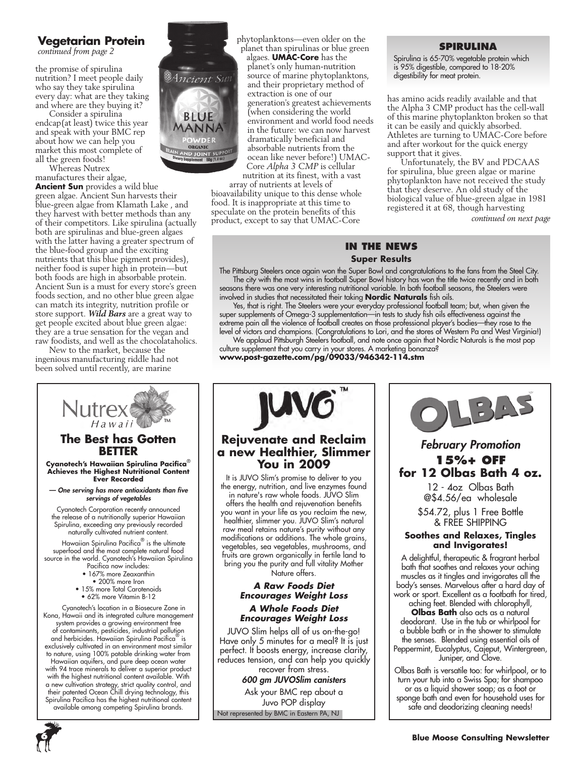### **Vegetarian Protein**

*continued from page 2*

the promise of spirulina nutrition? I meet people daily who say they take spirulina every day: what are they taking and where are they buying it?

Consider a spirulina endcap(at least) twice this year and speak with your BMC rep about how we can help you market this most complete of all the green foods!

Whereas Nutrex manufactures their algae,

**Ancient Sun** provides a wild blue green algae. Ancient Sun harvests their blue-green algae from Klamath Lake , and they harvest with better methods than any of their competitors. Like spirulina (actually both are spirulinas and blue-green algaes with the latter having a greater spectrum of the blue-food group and the exciting nutrients that this blue pigment provides), neither food is super high in protein—but both foods are high in absorbable protein. Ancient Sun is a must for every store's green foods section, and no other blue green algae can match its integrity, nutrition profile or store support. *Wild Bars* are a great way to get people excited about blue green algae: they are a true sensation for the vegan and raw foodists, and well as the chocolataholics.

New to the market, because the ingenious manufacturing riddle had not been solved until recently, are marine



Spirulina Pacifica has the highest nutritional content



phytoplanktons—even older on the planet than spirulinas or blue green algaes. **UMAC-Core** has the planet's only human-nutrition source of marine phytoplanktons, and their proprietary method of extraction is one of our generation's greatest achievements (when considering the world environment and world food needs in the future: we can now harvest dramatically beneficial and absorbable nutrients from the ocean like never before!) UMAC-Core *Alpha 3 CMP* is cellular nutrition at its finest, with a vast

array of nutrients at levels of bioavailability unique to this dense whole food. It is inappropriate at this time to speculate on the protein benefits of this product, except to say that UMAC-Core

#### **Spirulina**

Spirulina is 65-70% vegetable protein which is 95% digestible, compared to 18-20% digestibility for meat protein.

has amino acids readily available and that the Alpha 3 CMP product has the cell-wall of this marine phytoplankton broken so that it can be easily and quickly absorbed. Athletes are turning to UMAC-Core before and after workout for the quick energy support that it gives.

Unfortunately, the BV and PDCAAS for spirulina, blue green algae or marine phytoplankton have not received the study that they deserve. An old study of the biological value of blue-green algae in 1981 registered it at 68, though harvesting

*continued on next page*

### **In the News Super Results**

The Pittsburg Steelers once again won the Super Bowl and congratulations to the fans from the Steel City. The city with the most wins in football Super Bowl history has won the title twice recently and in both seasons there was one very interesting nutritional variable. In both football seasons, the Steelers were involved in studies that necessitated their taking **Nordic Naturals** fish oils.

Yes, that is right. The Steelers were your everyday professional football team; but, when given the super supplements of Omega-3 supplementation—in tests to study fish oils effectiveness against the extreme pain all the violence of football creates on those professional player's bodies—they rose to the level of victors and champions. (Congratulations to Lori, and the stores of Western Pa and West Virginia!)

We applaud Pittsburgh Steelers football, and note once again that Nordic Naturals is the most pop culture supplement that you carry in your stores. A marketing bonanza? **www.post-gazette.com/pg/09033/946342-114.stm**



### **Rejuvenate and Reclaim a new Healthier, Slimmer You in 2009**

It is JUVO Slim's promise to deliver to you the energy, nutrition, and live enzymes found in nature's raw whole foods. JUVO Slim offers the health and rejuvenation benefits you want in your life as you reclaim the new, healthier, slimmer you. JUVO Slim's natural raw meal retains nature's purity without any modifications or additions. The whole grains, vegetables, sea vegetables, mushrooms, and fruits are grown organically in fertile land to bring you the purity and full vitality Mother Nature offers.

#### *A Raw Foods Diet Encourages Weight Loss*

#### *A Whole Foods Diet Encourages Weight Loss*

JUVO Slim helps all of us on-the-go! Have only 5 minutes for a meal? It is just perfect. It boosts energy, increase clarity, reduces tension, and can help you quickly recover from stress.

*600 gm JUVOSlim canisters*

Not represented by BMC in Eastern PA, NJ Ask your BMC rep about a Juvo POP display



### *February Promotion* **15%+ off for 12 Olbas Bath 4 oz.**

12 - 4oz Olbas Bath @\$4.56/ea wholesale

\$54.72, plus 1 Free Bottle & FREE SHIPPING

#### **Soothes and Relaxes, Tingles and Invigorates!**

A delightful, therapeutic & fragrant herbal bath that soothes and relaxes your aching muscles as it tingles and invigorates all the body's senses. Marvelous after a hard day of work or sport. Excellent as a footbath for tired,

aching feet. Blended with chlorophyll, **Olbas Bath** also acts as a natural deodorant. Use in the tub or whirlpool for a bubble bath or in the shower to stimulate the senses. Blended using essential oils of Peppermint, Eucalyptus, Cajeput, Wintergreen, Juniper, and Clove.

Olbas Bath is versatile too: for whirlpool, or to turn your tub into a Swiss Spa; for shampoo or as a liquid shower soap; as a foot or sponge bath and even for household uses for safe and deodorizing cleaning needs!

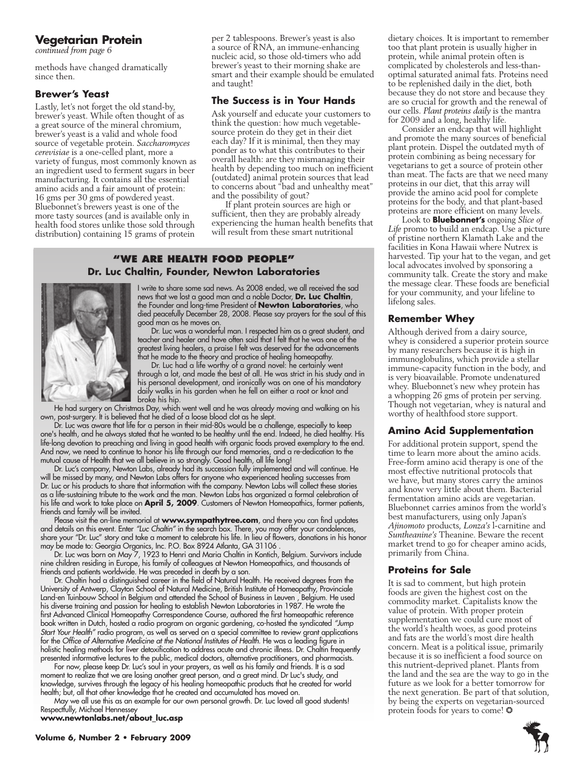#### **Vegetarian Protein**

*continued from page 6*

methods have changed dramatically since then.

#### **Brewer's Yeast**

Lastly, let's not forget the old stand-by, brewer's yeast. While often thought of as a great source of the mineral chromium, brewer's yeast is a valid and whole food source of vegetable protein. *Saccharomyces cerevisiae* is a one-celled plant, more a variety of fungus, most commonly known as an ingredient used to ferment sugars in beer manufacturing. It contains all the essential amino acids and a fair amount of protein: 16 gms per 30 gms of powdered yeast. Bluebonnet's brewers yeast is one of the more tasty sources (and is available only in health food stores unlike those sold through distribution) containing 15 grams of protein

per 2 tablespoons. Brewer's yeast is also a source of RNA, an immune-enhancing nucleic acid, so those old-timers who add brewer's yeast to their morning shake are smart and their example should be emulated and taught!

#### **The Success is in Your Hands**

Ask yourself and educate your customers to think the question: how much vegetablesource protein do they get in their diet each day? If it is minimal, then they may ponder as to what this contributes to their overall health: are they mismanaging their health by depending too much on inefficient (outdated) animal protein sources that lead to concerns about "bad and unhealthy meat" and the possibility of gout?

If plant protein sources are high or sufficient, then they are probably already experiencing the human health benefits that will result from these smart nutritional

#### **"We Are health food people" Dr. Luc Chaltin, Founder, Newton Laboratories**



I write to share some sad news. As 2008 ended, we all received the sad news that we lost a good man and a noble Doctor, **Dr. Luc Chaltin**, the Founder and long-time President of **Newton Laboratories**, who died peacefully December 28, 2008. Please say prayers for the soul of this good man as he moves on.

Dr. Luc was a wonderful man. I respected him as a great student, and teacher and healer and have often said that I felt that he was one of the greatest living healers, a praise I felt was deserved for the advancements that he made to the theory and practice of healing homeopathy.

Dr. Luc had a life worthy of a grand novel: he certainly went through a lot, and made the best of all. He was strict in his study and in his personal development, and ironically was on one of his mandatory daily walks in his garden when he fell on either a root or knot and broke his hip.

He had surgery on Christmas Day, which went well and he was already moving and walking on his own, post-surgery. It is believed that he died of a loose blood clot as he slept.

Dr. Luc was aware that life for a person in their mid-80s would be a challenge, especially to keep one's health, and he always stated that he wanted to be healthy until the end. Indeed, he died healthy. His life-long devotion to preaching and living in good health with organic foods proved exemplary to the end. And now, we need to continue to honor his life through our fond memories, and a re-dedication to the mutual cause of Health that we all believe in so strongly. Good health, all life long!

Dr. Luc's company, Newton Labs, already had its succession fully implemented and will continue. He will be missed by many, and Newton Labs offers for anyone who experienced healing successes from Dr. Luc or his products to share that information with the company. Newton Labs will collect these stories as a life-sustaining tribute to the work and the man. Newton Labs has organized a formal celebration of his life and work to take place on **April 5, 2009**. Customers of Newton Homeopathics, former patients, friends and family will be invited.

Please visit the on-line memorial at **www.sympathytree.com**, and there you can find updates and details on this event. Enter *"Luc Chaltin"* in the search box. There, you may offer your condolences, share your "Dr. Luc" story and take a moment to celebrate his life. In lieu of flowers, donations in his honor may be made to: Georgia Organics, Inc. P.O. Box 8924 Atlanta, GA 31106 .

Dr. Luc was born on May 7, 1923 to Henri and Maria Chaltin in Kontich, Belgium. Survivors include nine children residing in Europe, his family of colleagues at Newton Homeopathics, and thousands of friends and patients worldwide. He was preceded in death by a son.

Dr. Chaltin had a distinguished career in the field of Natural Health. He received degrees from the University of Antwerp, Clayton School of Natural Medicine, British Institute of Homeopathy, Provinciale Land-en Tuinbouw School in Belgium and attended the School of Business in Leuven , Belgium. He used his diverse training and passion for healing to establish Newton Laboratories in 1987. He wrote the first Advanced Clinical Homeopathy Correspondence Course, authored the first homeopathic reference book written in Dutch, hosted a radio program on organic gardening, co-hosted the syndicated *"Jump Start Your Health"* radio program, as well as served on a special committee to review grant applications for the *Office of Alternative Medicine at the National Institutes of Health*. He was a leading figure in holistic healing methods for liver detoxification to address acute and chronic illness. Dr. Chaltin frequently presented informative lectures to the public, medical doctors, alternative practitioners, and pharmacists.

For now, please keep Dr. Luc's soul in your prayers, as well as his family and friends. It is a sad moment to realize that we are losing another great person, and a great mind. Dr Luc's study, and knowledge, survives through the legacy of his healing homeopathic products that he created for world health; but, all that other knowledge that he created and accumulated has moved on.

May we all use this as an example for our own personal growth. Dr. Luc loved all good students! Respectfully, Michael Hennessey

**www.newtonlabs.net/about\_luc.asp**

dietary choices. It is important to remember too that plant protein is usually higher in protein, while animal protein often is complicated by cholesterols and less-thanoptimal saturated animal fats. Proteins need to be replenished daily in the diet, both because they do not store and because they are so crucial for growth and the renewal of our cells. *Plant proteins daily* is the mantra for 2009 and a long, healthy life.

Consider an endcap that will highlight and promote the many sources of beneficial plant protein. Dispel the outdated myth of protein combining as being necessary for vegetarians to get a source of protein other than meat. The facts are that we need many proteins in our diet, that this array will provide the amino acid pool for complete proteins for the body, and that plant-based proteins are more efficient on many levels.

Look to **Bluebonnet's** ongoing *Slice of Life* promo to build an endcap. Use a picture of pristine northern Klamath Lake and the facilities in Kona Hawaii where Nutrex is harvested. Tip your hat to the vegan, and get local advocates involved by sponsoring a community talk. Create the story and make the message clear. These foods are beneficial for your community, and your lifeline to lifelong sales.

#### **Remember Whey**

Although derived from a dairy source, whey is considered a superior protein source by many researchers because it is high in immunoglobulins, which provide a stellar immune-capacity function in the body, and is very bioavailable. Promote undenatured whey. Bluebonnet's new whey protein has a whopping 26 gms of protein per serving. Though not vegetarian, whey is natural and worthy of healthfood store support.

#### **Amino Acid Supplementation**

For additional protein support, spend the time to learn more about the amino acids. Free-form amino acid therapy is one of the most effective nutritional protocols that we have, but many stores carry the aminos and know very little about them. Bacterial fermentation amino acids are vegetarian. Bluebonnet carries aminos from the world's best manufacturers, using only Japan's *Ajinomoto* products, *Lonza's* l-carnitine and *Suntheanine's* Theanine. Beware the recent market trend to go for cheaper amino acids, primarily from China.

#### **Proteins for Sale**

It is sad to comment, but high protein foods are given the highest cost on the commodity market. Capitalists know the value of protein. With proper protein supplementation we could cure most of the world's health woes, as good proteins and fats are the world's most dire health concern. Meat is a political issue, primarily because it is so inefficient a food source on this nutrient-deprived planet. Plants from the land and the sea are the way to go in the future as we look for a better tomorrow for the next generation. Be part of that solution, by being the experts on vegetarian-sourced protein foods for years to come! ❂